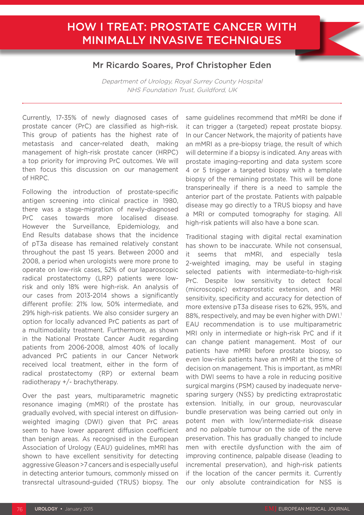## HOW I TREAT: PROSTATE CANCER WITH MINIMALLY INVASIVE TECHNIQUES

## Mr Ricardo Soares, Prof Christopher Eden

Department of Urology, Royal Surrey County Hospital NHS Foundation Trust, Guildford, UK

Currently, 17-35% of newly diagnosed cases of prostate cancer (PrC) are classified as high-risk. This group of patients has the highest rate of metastasis and cancer-related death, making management of high-risk prostate cancer (HRPC) a top priority for improving PrC outcomes. We will then focus this discussion on our management of HRPC.

Following the introduction of prostate-specific antigen screening into clinical practice in 1980, there was a stage-migration of newly-diagnosed PrC cases towards more localised disease. However the Surveillance, Epidemiology, and End Results database shows that the incidence of pT3a disease has remained relatively constant throughout the past 15 years. Between 2000 and 2008, a period when urologists were more prone to operate on low-risk cases, 52% of our laparoscopic radical prostatectomy (LRP) patients were lowrisk and only 18% were high-risk. An analysis of our cases from 2013-2014 shows a significantly different profile: 21% low, 50% intermediate, and 29% high-risk patients. We also consider surgery an option for locally advanced PrC patients as part of a multimodality treatment. Furthermore, as shown in the National Prostate Cancer Audit regarding patients from 2006-2008, almost 40% of locally advanced PrC patients in our Cancer Network received local treatment, either in the form of radical prostatectomy (RP) or external beam radiotherapy +/- brachytherapy.

Over the past years, multiparametric magnetic resonance imaging (mMRI) of the prostate has gradually evolved, with special interest on diffusionweighted imaging (DWI) given that PrC areas seem to have lower apparent diffusion coefficient than benign areas. As recognised in the European Association of Urology (EAU) guidelines, mMRI has shown to have excellent sensitivity for detecting aggressive Gleason >7 cancers and is especially useful in detecting anterior tumours, commonly missed on transrectal ultrasound-guided (TRUS) biopsy. The

same guidelines recommend that mMRI be done if it can trigger a (targeted) repeat prostate biopsy. In our Cancer Network, the majority of patients have an mMRI as a pre-biopsy triage, the result of which will determine if a biopsy is indicated. Any areas with prostate imaging-reporting and data system score 4 or 5 trigger a targeted biopsy with a template biopsy of the remaining prostate. This will be done transperineally if there is a need to sample the anterior part of the prostate. Patients with palpable disease may go directly to a TRUS biopsy and have a MRI or computed tomography for staging. All high-risk patients will also have a bone scan.

Traditional staging with digital rectal examination has shown to be inaccurate. While not consensual, it seems that mMRI, and especially tesla 2-weighted imaging, may be useful in staging selected patients with intermediate-to-high-risk PrC. Despite low sensitivity to detect focal (microscopic) extraprostatic extension, and MRI sensitivity, specificity and accuracy for detection of more extensive pT3a disease rises to 62%, 95%, and 88%, respectively, and may be even higher with DWI.<sup>1</sup> EAU recommendation is to use multiparametric MRI only in intermediate or high-risk PrC and if it can change patient management. Most of our patients have mMRI before prostate biopsy, so even low-risk patients have an mMRI at the time of decision on management. This is important, as mMRI with DWI seems to have a role in reducing positive surgical margins (PSM) caused by inadequate nervesparing surgery (NSS) by predicting extraprostatic extension. Initially, in our group, neurovascular bundle preservation was being carried out only in potent men with low/intermediate-risk disease and no palpable tumour on the side of the nerve preservation. This has gradually changed to include men with erectile dysfunction with the aim of improving continence, palpable disease (leading to incremental preservation), and high-risk patients if the location of the cancer permits it. Currently our only absolute contraindication for NSS is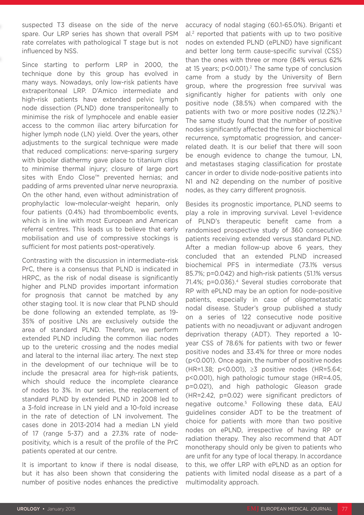suspected T3 disease on the side of the nerve spare. Our LRP series has shown that overall PSM rate correlates with pathological T stage but is not influenced by NSS.

Since starting to perform LRP in 2000, the technique done by this group has evolved in many ways. Nowadays, only low-risk patients have extraperitoneal LRP. D'Amico intermediate and high-risk patients have extended pelvic lymph node dissection (PLND) done transperitoneally to minimise the risk of lymphocele and enable easier access to the common iliac artery bifurcation for higher lymph node (LN) yield. Over the years, other adjustments to the surgical technique were made that reduced complications: nerve-sparing surgery with bipolar diathermy gave place to titanium clips to minimise thermal injury; closure of large port sites with Endo Close™ prevented hernias; and padding of arms prevented ulnar nerve neuropraxia. On the other hand, even without administration of prophylactic low-molecular-weight heparin, only four patients (0.4%) had thromboembolic events, which is in line with most European and American referral centres. This leads us to believe that early mobilisation and use of compressive stockings is sufficient for most patients post-operatively.

Contrasting with the discussion in intermediate-risk PrC, there is a consensus that PLND is indicated in HRPC, as the risk of nodal disease is significantly higher and PLND provides important information for prognosis that cannot be matched by any other staging tool. It is now clear that PLND should be done following an extended template, as 19- 35% of positive LNs are exclusively outside the area of standard PLND. Therefore, we perform extended PLND including the common iliac nodes up to the ureteric crossing and the nodes medial and lateral to the internal iliac artery. The next step in the development of our technique will be to include the presacral area for high-risk patients, which should reduce the incomplete clearance of nodes to 3%. In our series, the replacement of standard PLND by extended PLND in 2008 led to a 3-fold increase in LN yield and a 10-fold increase in the rate of detection of LN involvement. The cases done in 2013-2014 had a median LN yield of 17 (range 5-37) and a 27.3% rate of nodepositivity, which is a result of the profile of the PrC patients operated at our centre.

It is important to know if there is nodal disease, but it has also been shown that considering the number of positive nodes enhances the predictive

accuracy of nodal staging (60.1-65.0%). Briganti et al.2 reported that patients with up to two positive nodes on extended PLND (ePLND) have significant and better long term cause-specific survival (CSS) than the ones with three or more (84% versus 62% at 15 years;  $p < 0.001$ ).<sup>2</sup> The same type of conclusion came from a study by the University of Bern group, where the progression free survival was significantly higher for patients with only one positive node (38.5%) when compared with the patients with two or more positive nodes (12.2%).<sup>3</sup> The same study found that the number of positive nodes significantly affected the time for biochemical recurrence, symptomatic progression, and cancerrelated death. It is our belief that there will soon be enough evidence to change the tumour, LN, and metastases staging classification for prostate cancer in order to divide node-positive patients into N1 and N2 depending on the number of positive nodes, as they carry different prognosis.

Besides its prognostic importance, PLND seems to play a role in improving survival. Level 1-evidence of PLND's therapeutic benefit came from a randomised prospective study of 360 consecutive patients receiving extended versus standard PLND. After a median follow-up above 6 years, they concluded that an extended PLND increased biochemical PFS in intermediate (73.1% versus 85.7%; p=0.042) and high-risk patients (51.1% versus 71.4%; p=0.036).<sup>4</sup> Several studies corroborate that RP with ePLND may be an option for node-positive patients, especially in case of oligometastatic nodal disease. Studer's group published a study on a series of 122 consecutive node positive patients with no neoadjuvant or adjuvant androgen deprivation therapy (ADT). They reported a 10 year CSS of 78.6% for patients with two or fewer positive nodes and 33.4% for three or more nodes (p<0.001). Once again, the number of positive nodes (HR=1.38; p<0.001), ≥3 positive nodes (HR=5.64; p<0.001), high pathologic tumour stage (HR=4.05, p=0.021), and high pathologic Gleason grade (HR=2.42, p=0.02) were significant predictors of negative outcome.5 Following these data, EAU guidelines consider ADT to be the treatment of choice for patients with more than two positive nodes on ePLND, irrespective of having RP or radiation therapy. They also recommend that ADT monotherapy should only be given to patients who are unfit for any type of local therapy. In accordance to this, we offer LRP with ePLND as an option for patients with limited nodal disease as a part of a multimodality approach.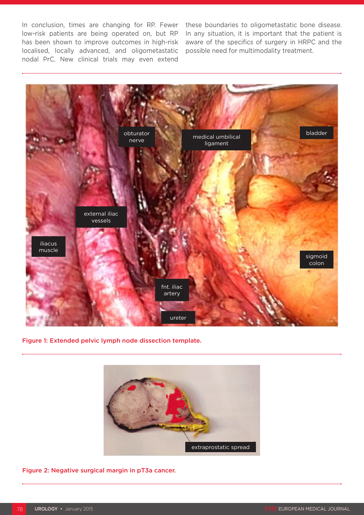In conclusion, times are changing for RP. Fewer low-risk patients are being operated on, but RP has been shown to improve outcomes in high-risk localised, locally advanced, and oligometastatic nodal PrC. New clinical trials may even extend

these boundaries to oligometastatic bone disease. In any situation, it is important that the patient is aware of the specifics of surgery in HRPC and the possible need for multimodality treatment.



Figure 1: Extended pelvic lymph node dissection template.



Figure 2: Negative surgical margin in pT3a cancer.